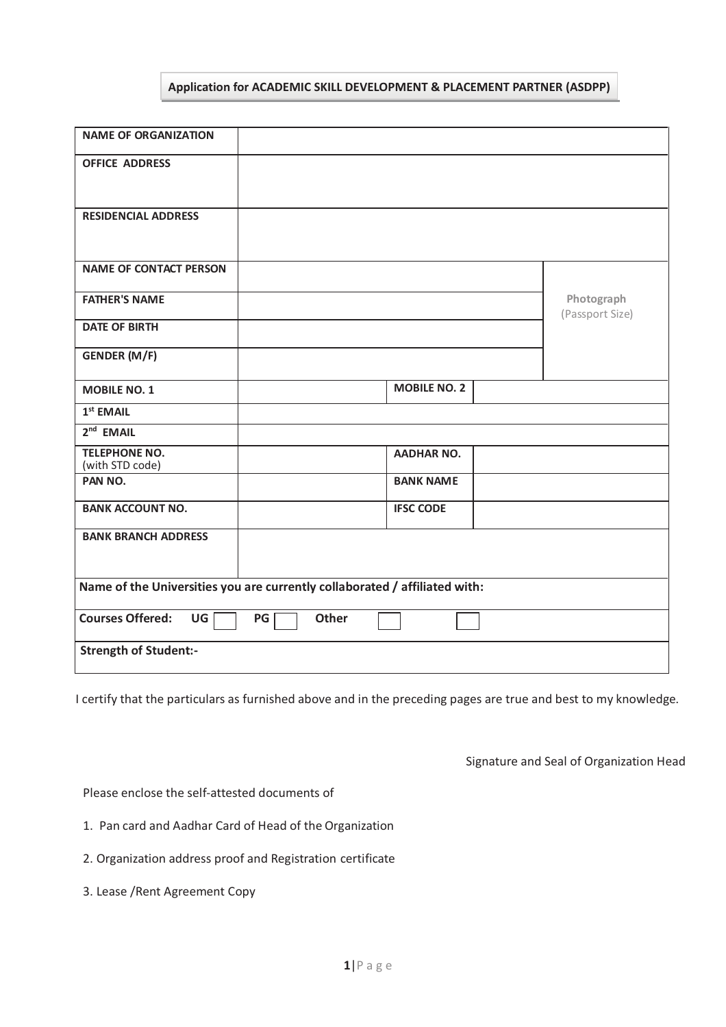## **Application for ACADEMIC SKILL DEVELOPMENT & PLACEMENT PARTNER (ASDPP)**

| <b>NAME OF ORGANIZATION</b>                                                |                     |                               |
|----------------------------------------------------------------------------|---------------------|-------------------------------|
| <b>OFFICE ADDRESS</b>                                                      |                     |                               |
| <b>RESIDENCIAL ADDRESS</b>                                                 |                     |                               |
| <b>NAME OF CONTACT PERSON</b>                                              |                     |                               |
| <b>FATHER'S NAME</b>                                                       |                     | Photograph<br>(Passport Size) |
| <b>DATE OF BIRTH</b>                                                       |                     |                               |
| <b>GENDER (M/F)</b>                                                        |                     |                               |
| <b>MOBILE NO. 1</b>                                                        | <b>MOBILE NO. 2</b> |                               |
| $1st$ EMAIL                                                                |                     |                               |
| $2nd$ EMAIL                                                                |                     |                               |
| <b>TELEPHONE NO.</b><br>(with STD code)                                    | <b>AADHAR NO.</b>   |                               |
| PAN NO.                                                                    | <b>BANK NAME</b>    |                               |
| <b>BANK ACCOUNT NO.</b>                                                    | <b>IFSC CODE</b>    |                               |
| <b>BANK BRANCH ADDRESS</b>                                                 |                     |                               |
| Name of the Universities you are currently collaborated / affiliated with: |                     |                               |
| <b>Courses Offered:</b><br>UG<br>PG<br><b>Other</b>                        |                     |                               |
| <b>Strength of Student:-</b>                                               |                     |                               |

I certify that the particulars as furnished above and in the preceding pages are true and best to my knowledge.

Signature and Seal of Organization Head

Please enclose the self-attested documents of

- 1. Pan card and Aadhar Card of Head of the Organization
- 2. Organization address proof and Registration certificate
- 3. Lease /Rent Agreement Copy